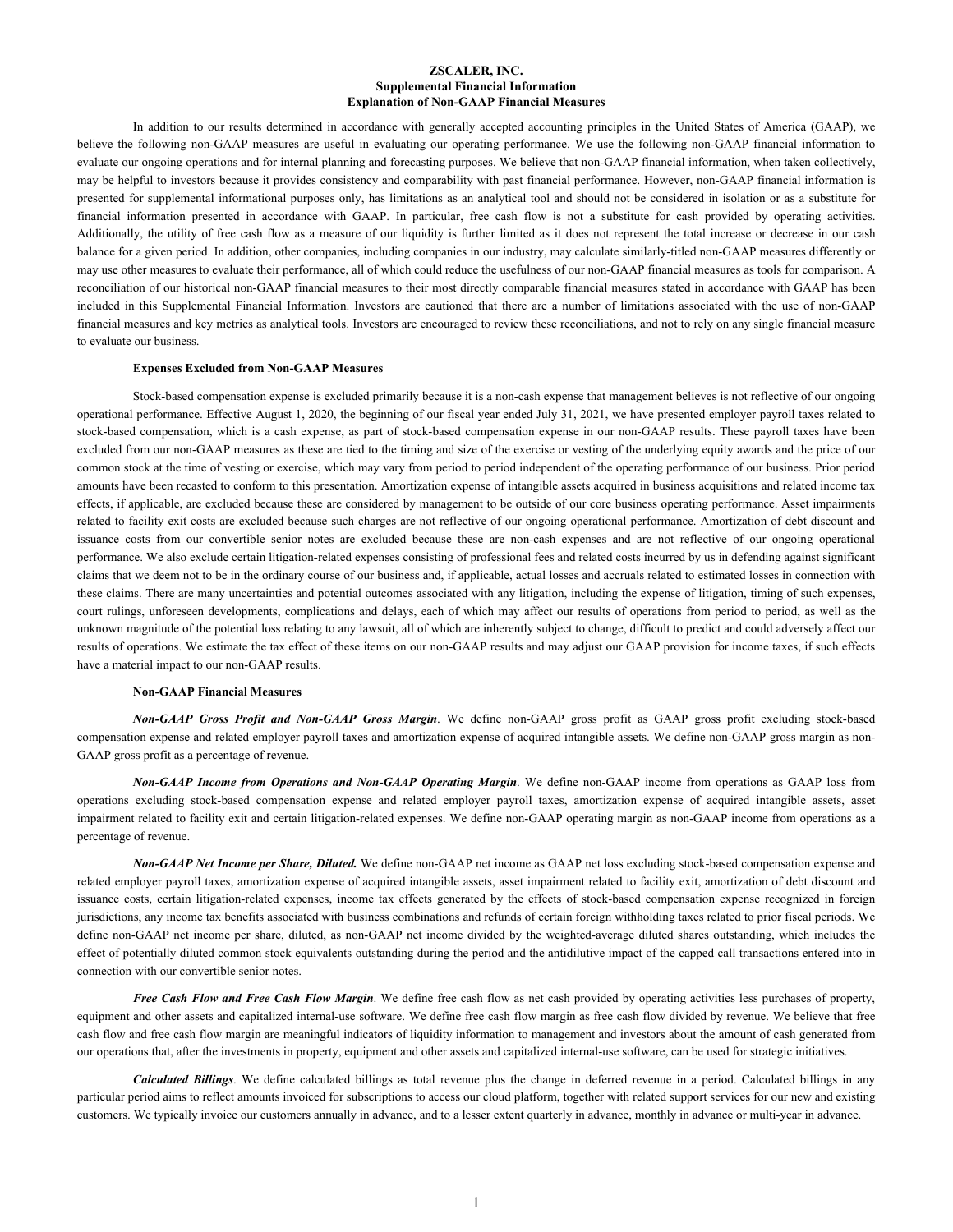### **ZSCALER, INC. Supplemental Financial Information Explanation of Non-GAAP Financial Measures**

In addition to our results determined in accordance with generally accepted accounting principles in the United States of America (GAAP), we believe the following non-GAAP measures are useful in evaluating our operating performance. We use the following non-GAAP financial information to evaluate our ongoing operations and for internal planning and forecasting purposes. We believe that non-GAAP financial information, when taken collectively, may be helpful to investors because it provides consistency and comparability with past financial performance. However, non-GAAP financial information is presented for supplemental informational purposes only, has limitations as an analytical tool and should not be considered in isolation or as a substitute for financial information presented in accordance with GAAP. In particular, free cash flow is not a substitute for cash provided by operating activities. Additionally, the utility of free cash flow as a measure of our liquidity is further limited as it does not represent the total increase or decrease in our cash balance for a given period. In addition, other companies, including companies in our industry, may calculate similarly-titled non-GAAP measures differently or may use other measures to evaluate their performance, all of which could reduce the usefulness of our non-GAAP financial measures as tools for comparison. A reconciliation of our historical non-GAAP financial measures to their most directly comparable financial measures stated in accordance with GAAP has been included in this Supplemental Financial Information. Investors are cautioned that there are a number of limitations associated with the use of non-GAAP financial measures and key metrics as analytical tools. Investors are encouraged to review these reconciliations, and not to rely on any single financial measure to evaluate our business.

#### **Expenses Excluded from Non-GAAP Measures**

Stock-based compensation expense is excluded primarily because it is a non-cash expense that management believes is not reflective of our ongoing operational performance. Effective August 1, 2020, the beginning of our fiscal year ended July 31, 2021, we have presented employer payroll taxes related to stock-based compensation, which is a cash expense, as part of stock-based compensation expense in our non-GAAP results. These payroll taxes have been excluded from our non-GAAP measures as these are tied to the timing and size of the exercise or vesting of the underlying equity awards and the price of our common stock at the time of vesting or exercise, which may vary from period to period independent of the operating performance of our business. Prior period amounts have been recasted to conform to this presentation. Amortization expense of intangible assets acquired in business acquisitions and related income tax effects, if applicable, are excluded because these are considered by management to be outside of our core business operating performance. Asset impairments related to facility exit costs are excluded because such charges are not reflective of our ongoing operational performance. Amortization of debt discount and issuance costs from our convertible senior notes are excluded because these are non-cash expenses and are not reflective of our ongoing operational performance. We also exclude certain litigation-related expenses consisting of professional fees and related costs incurred by us in defending against significant claims that we deem not to be in the ordinary course of our business and, if applicable, actual losses and accruals related to estimated losses in connection with these claims. There are many uncertainties and potential outcomes associated with any litigation, including the expense of litigation, timing of such expenses, court rulings, unforeseen developments, complications and delays, each of which may affect our results of operations from period to period, as well as the unknown magnitude of the potential loss relating to any lawsuit, all of which are inherently subject to change, difficult to predict and could adversely affect our results of operations. We estimate the tax effect of these items on our non-GAAP results and may adjust our GAAP provision for income taxes, if such effects have a material impact to our non-GAAP results.

#### **Non-GAAP Financial Measures**

*Non-GAAP Gross Profit and Non-GAAP Gross Margin*. We define non-GAAP gross profit as GAAP gross profit excluding stock-based compensation expense and related employer payroll taxes and amortization expense of acquired intangible assets. We define non-GAAP gross margin as non-GAAP gross profit as a percentage of revenue.

*Non-GAAP Income from Operations and Non-GAAP Operating Margin*. We define non-GAAP income from operations as GAAP loss from operations excluding stock-based compensation expense and related employer payroll taxes, amortization expense of acquired intangible assets, asset impairment related to facility exit and certain litigation-related expenses. We define non-GAAP operating margin as non-GAAP income from operations as a percentage of revenue.

*Non-GAAP Net Income per Share, Diluted.* We define non-GAAP net income as GAAP net loss excluding stock-based compensation expense and related employer payroll taxes, amortization expense of acquired intangible assets, asset impairment related to facility exit, amortization of debt discount and issuance costs, certain litigation-related expenses, income tax effects generated by the effects of stock-based compensation expense recognized in foreign jurisdictions, any income tax benefits associated with business combinations and refunds of certain foreign withholding taxes related to prior fiscal periods. We define non-GAAP net income per share, diluted, as non-GAAP net income divided by the weighted-average diluted shares outstanding, which includes the effect of potentially diluted common stock equivalents outstanding during the period and the antidilutive impact of the capped call transactions entered into in connection with our convertible senior notes.

*Free Cash Flow and Free Cash Flow Margin*. We define free cash flow as net cash provided by operating activities less purchases of property, equipment and other assets and capitalized internal-use software. We define free cash flow margin as free cash flow divided by revenue. We believe that free cash flow and free cash flow margin are meaningful indicators of liquidity information to management and investors about the amount of cash generated from our operations that, after the investments in property, equipment and other assets and capitalized internal-use software, can be used for strategic initiatives.

*Calculated Billings*. We define calculated billings as total revenue plus the change in deferred revenue in a period. Calculated billings in any particular period aims to reflect amounts invoiced for subscriptions to access our cloud platform, together with related support services for our new and existing customers. We typically invoice our customers annually in advance, and to a lesser extent quarterly in advance, monthly in advance or multi-year in advance.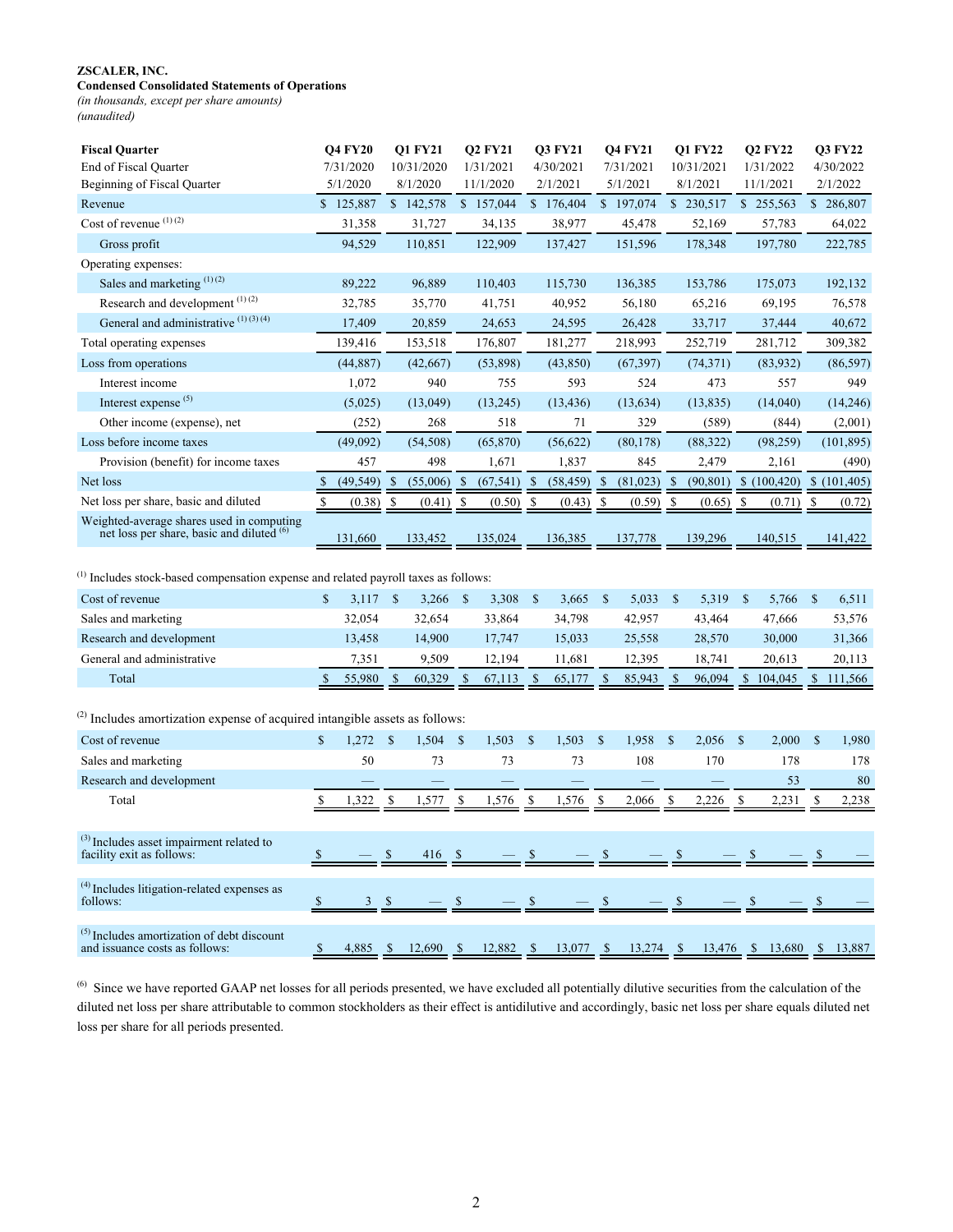# **Condensed Consolidated Statements of Operations**

*(in thousands, except per share amounts) (unaudited)*

| <b>Fiscal Quarter</b>                                                                             |              | <b>Q4 FY20</b> |               | <b>Q1 FY21</b> |              | <b>Q2 FY21</b> |                      | <b>Q3 FY21</b> |                      | <b>Q4 FY21</b> |                                 | Q1 FY22    |                    | <b>Q2 FY22</b>                       |               | <b>Q3 FY22</b> |
|---------------------------------------------------------------------------------------------------|--------------|----------------|---------------|----------------|--------------|----------------|----------------------|----------------|----------------------|----------------|---------------------------------|------------|--------------------|--------------------------------------|---------------|----------------|
| End of Fiscal Quarter                                                                             |              | 7/31/2020      |               | 10/31/2020     |              | 1/31/2021      |                      | 4/30/2021      |                      | 7/31/2021      |                                 | 10/31/2021 |                    | 1/31/2022                            |               | 4/30/2022      |
| Beginning of Fiscal Quarter                                                                       |              | 5/1/2020       |               | 8/1/2020       |              | 11/1/2020      |                      | 2/1/2021       |                      | 5/1/2021       |                                 | 8/1/2021   |                    | 11/1/2021                            |               | 2/1/2022       |
| Revenue                                                                                           |              | \$125,887      |               | \$142,578      |              | \$157,044      |                      | \$176,404      |                      | \$197,074      |                                 | \$230,517  |                    | \$255,563                            |               | \$286,807      |
| Cost of revenue (1)(2)                                                                            |              | 31,358         |               | 31,727         |              | 34,135         |                      | 38,977         |                      | 45,478         |                                 | 52,169     |                    | 57,783                               |               | 64,022         |
| Gross profit                                                                                      |              | 94,529         |               | 110,851        |              | 122,909        |                      | 137,427        |                      | 151,596        |                                 | 178,348    |                    | 197,780                              |               | 222,785        |
| Operating expenses:                                                                               |              |                |               |                |              |                |                      |                |                      |                |                                 |            |                    |                                      |               |                |
| Sales and marketing (1)(2)                                                                        |              | 89,222         |               | 96,889         |              | 110,403        |                      | 115,730        |                      | 136,385        |                                 | 153,786    |                    | 175,073                              |               | 192,132        |
| Research and development <sup>(1)(2)</sup>                                                        |              | 32,785         |               | 35,770         |              | 41,751         |                      | 40,952         |                      | 56,180         |                                 | 65,216     |                    | 69,195                               |               | 76,578         |
| General and administrative (1)(3)(4)                                                              |              | 17,409         |               | 20,859         |              | 24,653         |                      | 24,595         |                      | 26,428         |                                 | 33,717     |                    | 37,444                               |               | 40,672         |
| Total operating expenses                                                                          |              | 139,416        |               | 153,518        |              | 176,807        |                      | 181,277        |                      | 218,993        |                                 | 252,719    |                    | 281,712                              |               | 309,382        |
| Loss from operations                                                                              |              | (44, 887)      |               | (42,667)       |              | (53,898)       |                      | (43, 850)      |                      | (67, 397)      |                                 | (74, 371)  |                    | (83,932)                             |               | (86, 597)      |
| Interest income                                                                                   |              | 1,072          |               | 940            |              | 755            |                      | 593            |                      | 524            |                                 | 473        |                    | 557                                  |               | 949            |
| Interest expense <sup>(5)</sup>                                                                   |              | (5,025)        |               | (13,049)       |              | (13,245)       |                      | (13, 436)      |                      | (13, 634)      |                                 | (13, 835)  |                    | (14,040)                             |               | (14,246)       |
| Other income (expense), net                                                                       |              | (252)          |               | 268            |              | 518            |                      | 71             |                      | 329            |                                 | (589)      |                    | (844)                                |               | (2,001)        |
| Loss before income taxes                                                                          |              | (49,092)       |               | (54, 508)      |              | (65, 870)      |                      | (56, 622)      |                      | (80, 178)      |                                 | (88, 322)  |                    | (98, 259)                            |               | (101, 895)     |
| Provision (benefit) for income taxes                                                              |              | 457            |               | 498            |              | 1,671          |                      | 1,837          |                      | 845            |                                 | 2,479      |                    | 2,161                                |               | (490)          |
| Net loss                                                                                          | \$           | (49, 549)      | \$            | (55,006)       | $\mathbb{S}$ | (67, 541)      | \$                   | (58, 459)      | $\mathbb{S}$         | (81,023)       | $\mathbb{S}$                    | (90, 801)  |                    | \$(100, 420)                         |               | \$(101,405)    |
| Net loss per share, basic and diluted                                                             | S            | (0.38)         | <sup>\$</sup> | (0.41)         | \$           | (0.50)         | S                    | (0.43)         | <sup>\$</sup>        | (0.59)         | S                               | (0.65)     | S                  | (0.71)                               | \$            | (0.72)         |
| Weighted-average shares used in computing<br>net loss per share, basic and diluted <sup>(6)</sup> |              | 131,660        |               | 133,452        |              | 135,024        |                      | 136,385        |                      | 137,778        |                                 | 139,296    |                    | 140,515                              |               | 141,422        |
|                                                                                                   |              |                |               |                |              |                |                      |                |                      |                |                                 |            |                    |                                      |               |                |
| $(1)$ Includes stock-based compensation expense and related payroll taxes as follows:             |              |                |               |                |              |                |                      |                |                      |                |                                 |            |                    |                                      |               |                |
| Cost of revenue                                                                                   | $\mathbb{S}$ | $3,117$ \$     |               | 3,266          | - \$         | 3,308          | $\mathbb{S}$         | 3,665          | $\mathcal{S}$        | 5,033          | \$                              | 5,319      | $\mathbf{\hat{s}}$ | 5,766                                | $\mathbb{S}$  | 6,511          |
| Sales and marketing                                                                               |              | 32,054         |               | 32,654         |              | 33,864         |                      | 34,798         |                      | 42,957         |                                 | 43,464     |                    | 47,666                               |               | 53,576         |
| Research and development                                                                          |              | 13,458         |               | 14,900         |              | 17,747         |                      | 15,033         |                      | 25,558         |                                 | 28,570     |                    | 30,000                               |               | 31,366         |
| General and administrative                                                                        |              | 7,351          |               | 9,509          |              | 12,194         |                      | 11,681         |                      | 12,395         |                                 | 18,741     |                    | 20,613                               |               | 20,113         |
| Total                                                                                             |              | 55,980         | \$            | 60,329         | \$           | 67,113         | $\mathbb{S}$         | 65,177         | S                    | 85,943         | \$                              | 96,094     |                    | \$104,045                            | <sup>\$</sup> | 111,566        |
|                                                                                                   |              |                |               |                |              |                |                      |                |                      |                |                                 |            |                    |                                      |               |                |
| $^{(2)}$ Includes amortization expense of acquired intangible assets as follows:                  |              |                |               |                |              |                |                      |                |                      |                |                                 |            |                    |                                      |               |                |
| Cost of revenue                                                                                   | $\mathbf S$  | 1,272          | \$            | 1,504          | $\mathbb{S}$ | 1,503          | \$                   | 1,503          | \$                   | 1,958          | $\mathcal{S}$                   | 2,056      | \$                 | 2,000                                | $\mathcal{S}$ | 1,980          |
| Sales and marketing                                                                               |              | 50             |               | 73             |              | 73             |                      | 73             |                      | 108            |                                 | 170        |                    | 178                                  |               | 178            |
| Research and development                                                                          |              |                |               |                |              |                |                      |                |                      |                |                                 |            |                    | 53                                   |               | 80             |
| Total                                                                                             |              | 1,322          | \$            | 1,577          | \$           | 1,576          | \$                   | 1,576          | \$                   | 2,066          | S                               | 2,226      | \$                 | 2,231                                | S             | 2,238          |
| $^{(3)}$ Includes asset impairment related to<br>facility exit as follows:                        |              |                |               | $416 \quad$ \$ |              |                |                      |                | <b>S</b>             |                | - S                             |            |                    |                                      |               |                |
|                                                                                                   |              |                |               |                |              |                |                      |                |                      |                |                                 |            |                    |                                      |               |                |
| $(4)$ Includes litigation-related expenses as<br>follows:                                         | \$           | 3S             |               |                |              |                | $\sqrt{\frac{2}{2}}$ |                | $\sqrt{\frac{2}{2}}$ |                | $\frac{\mathsf{s}}{\mathsf{s}}$ |            | <sup>\$</sup>      |                                      |               |                |
|                                                                                                   |              |                |               |                |              |                |                      |                |                      |                |                                 |            |                    |                                      |               |                |
| $(5)$ Includes amortization of debt discount<br>and issuance costs as follows:                    | $\mathbb{S}$ | $4,885$ \$     |               | $12,690$ \$    |              | 12,882 \$      |                      | $13,077$ \$    |                      |                |                                 |            |                    | 13,274 \$ 13,476 \$ 13,680 \$ 13,887 |               |                |

<sup>(6)</sup> Since we have reported GAAP net losses for all periods presented, we have excluded all potentially dilutive securities from the calculation of the diluted net loss per share attributable to common stockholders as their effect is antidilutive and accordingly, basic net loss per share equals diluted net loss per share for all periods presented.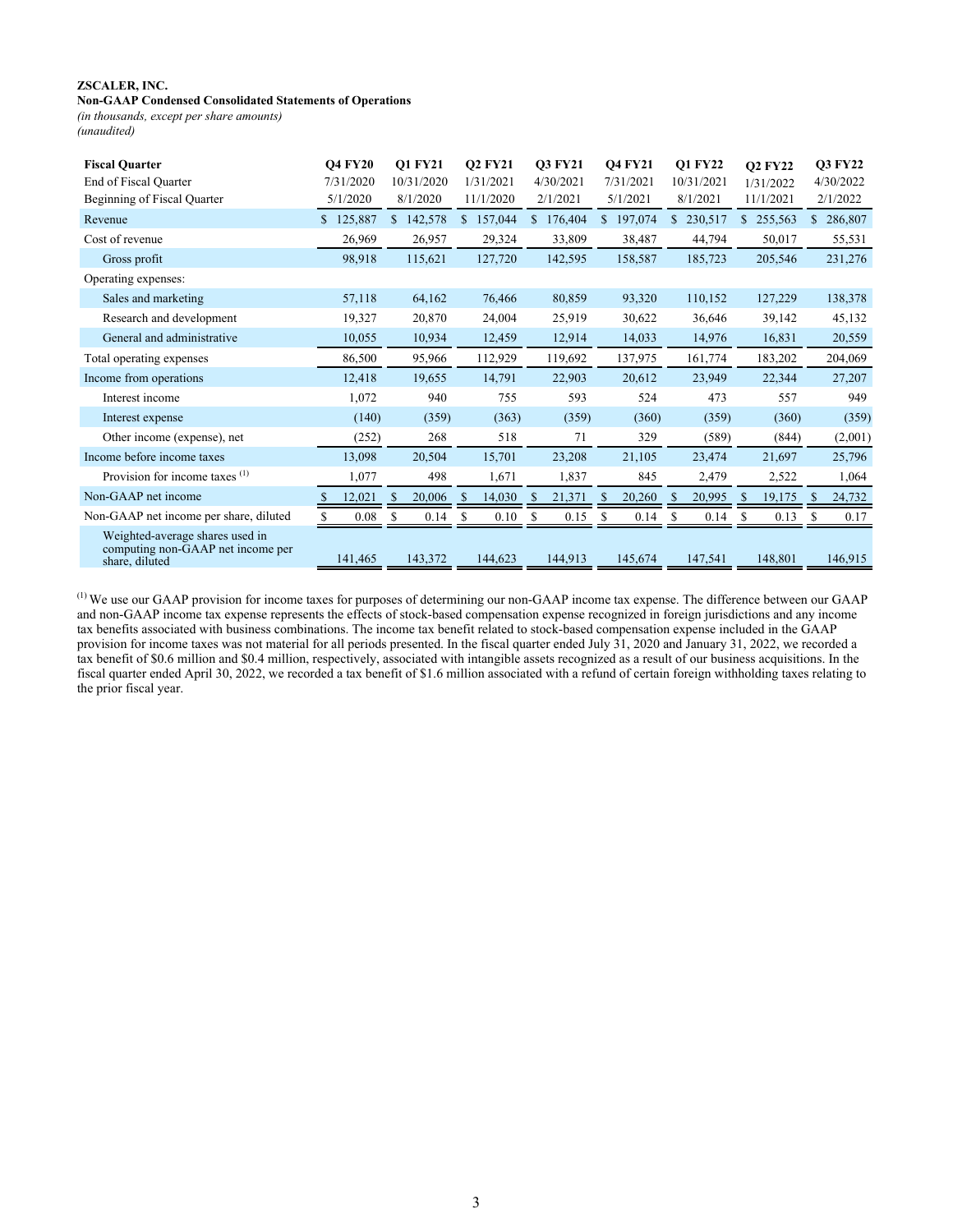### **Non-GAAP Condensed Consolidated Statements of Operations**

*(in thousands, except per share amounts) (unaudited)*

| <b>Fiscal Ouarter</b><br>End of Fiscal Quarter<br>Beginning of Fiscal Quarter          | <b>O4 FY20</b><br>7/31/2020<br>5/1/2020 | <b>O1 FY21</b><br>10/31/2020<br>8/1/2020 | <b>O2 FY21</b><br>1/31/2021<br>11/1/2020 | <b>O3 FY21</b><br>4/30/2021<br>2/1/2021 | <b>Q4 FY21</b><br>7/31/2021<br>5/1/2021 | Q1 FY22<br>10/31/2021<br>8/1/2021 | <b>Q2 FY22</b><br>1/31/2022<br>11/1/2021 | <b>Q3 FY22</b><br>4/30/2022<br>2/1/2022 |
|----------------------------------------------------------------------------------------|-----------------------------------------|------------------------------------------|------------------------------------------|-----------------------------------------|-----------------------------------------|-----------------------------------|------------------------------------------|-----------------------------------------|
| Revenue                                                                                | 125,887                                 | \$<br>142,578                            | \$157,044                                | \$176,404                               | $\mathbb{S}$<br>197,074                 | \$230,517                         | \$255,563                                | 286,807<br>\$                           |
| Cost of revenue                                                                        | 26,969                                  | 26,957                                   | 29,324                                   | 33,809                                  | 38,487                                  | 44,794                            | 50,017                                   | 55,531                                  |
| Gross profit                                                                           | 98,918                                  | 115,621                                  | 127,720                                  | 142,595                                 | 158,587                                 | 185,723                           | 205,546                                  | 231,276                                 |
| Operating expenses:                                                                    |                                         |                                          |                                          |                                         |                                         |                                   |                                          |                                         |
| Sales and marketing                                                                    | 57,118                                  | 64,162                                   | 76,466                                   | 80,859                                  | 93,320                                  | 110,152                           | 127,229                                  | 138,378                                 |
| Research and development                                                               | 19,327                                  | 20,870                                   | 24,004                                   | 25,919                                  | 30,622                                  | 36,646                            | 39,142                                   | 45,132                                  |
| General and administrative                                                             | 10,055                                  | 10,934                                   | 12,459                                   | 12,914                                  | 14,033                                  | 14,976                            | 16,831                                   | 20,559                                  |
| Total operating expenses                                                               | 86,500                                  | 95,966                                   | 112,929                                  | 119,692                                 | 137,975                                 | 161,774                           | 183,202                                  | 204,069                                 |
| Income from operations                                                                 | 12,418                                  | 19,655                                   | 14,791                                   | 22,903                                  | 20,612                                  | 23,949                            | 22,344                                   | 27,207                                  |
| Interest income                                                                        | 1,072                                   | 940                                      | 755                                      | 593                                     | 524                                     | 473                               | 557                                      | 949                                     |
| Interest expense                                                                       | (140)                                   | (359)                                    | (363)                                    | (359)                                   | (360)                                   | (359)                             | (360)                                    | (359)                                   |
| Other income (expense), net                                                            | (252)                                   | 268                                      | 518                                      | 71                                      | 329                                     | (589)                             | (844)                                    | (2,001)                                 |
| Income before income taxes                                                             | 13,098                                  | 20,504                                   | 15,701                                   | 23,208                                  | 21,105                                  | 23,474                            | 21,697                                   | 25,796                                  |
| Provision for income taxes $(1)$                                                       | 1,077                                   | 498                                      | 1,671                                    | 1,837                                   | 845                                     | 2,479                             | 2,522                                    | 1,064                                   |
| Non-GAAP net income                                                                    | 12,021                                  | 20,006<br>S                              | 14,030<br><sup>S</sup>                   | 21,371                                  | S<br>20,260                             | 20,995                            | 19,175<br>S                              | 24,732<br><sup>S</sup>                  |
| Non-GAAP net income per share, diluted                                                 | 0.08                                    | <sup>\$</sup><br>0.14                    | \$<br>0.10                               | 0.15                                    | 0.14<br>S                               | 0.14                              | 0.13                                     | 0.17                                    |
| Weighted-average shares used in<br>computing non-GAAP net income per<br>share, diluted | 141,465                                 | 143,372                                  | 144,623                                  | 144,913                                 | 145,674                                 | 147,541                           | 148,801                                  | 146,915                                 |

 $<sup>(1)</sup>$  We use our GAAP provision for income taxes for purposes of determining our non-GAAP income tax expense. The difference between our GAAP</sup> and non-GAAP income tax expense represents the effects of stock-based compensation expense recognized in foreign jurisdictions and any income tax benefits associated with business combinations. The income tax benefit related to stock-based compensation expense included in the GAAP provision for income taxes was not material for all periods presented. In the fiscal quarter ended July 31, 2020 and January 31, 2022, we recorded a tax benefit of \$0.6 million and \$0.4 million, respectively, associated with intangible assets recognized as a result of our business acquisitions. In the fiscal quarter ended April 30, 2022, we recorded a tax benefit of \$1.6 million associated with a refund of certain foreign withholding taxes relating to the prior fiscal year.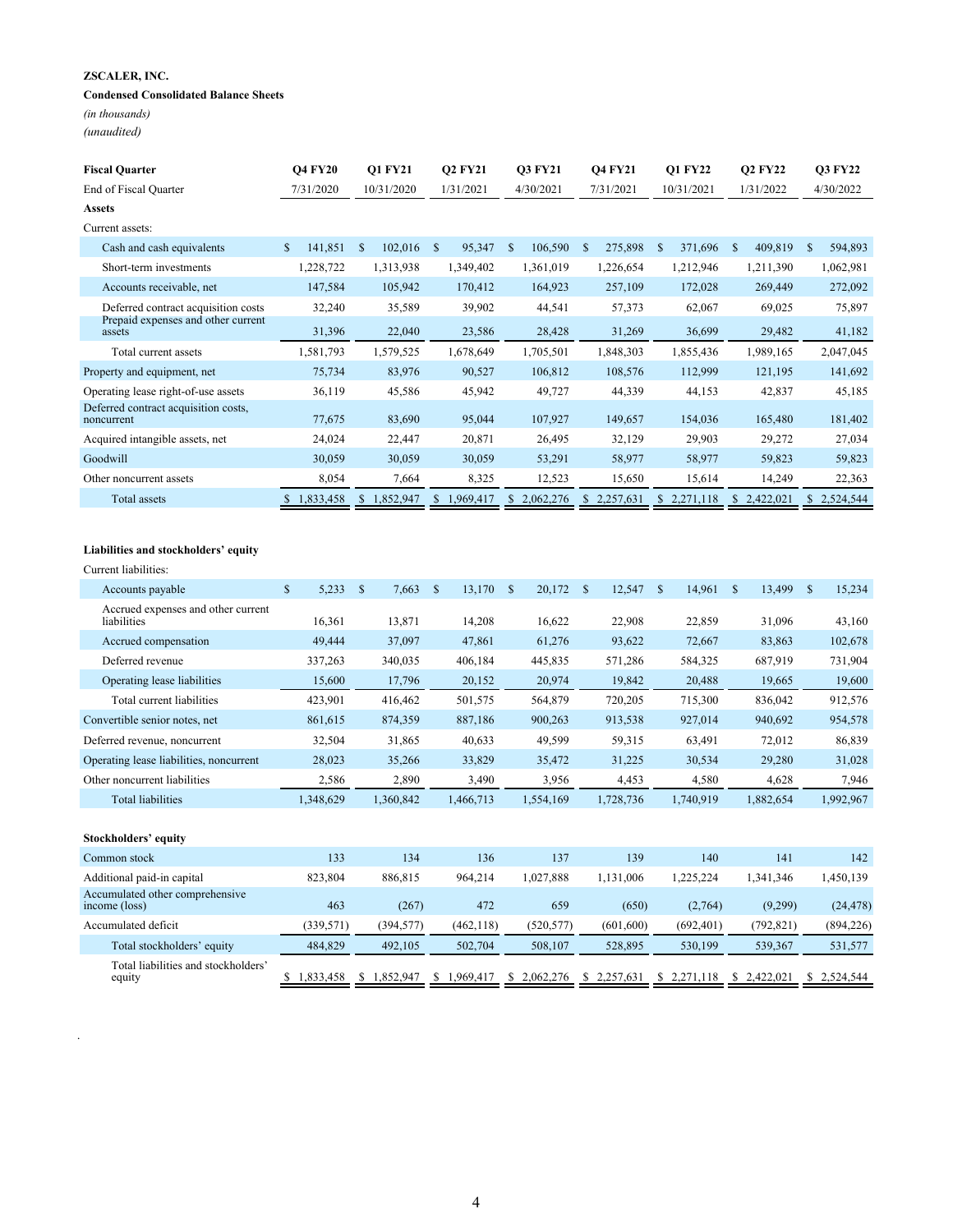### **Condensed Consolidated Balance Sheets**

*(in thousands)*

*(unaudited)*

.

| <b>Fiscal Quarter</b>                                                     | <b>O4 FY20</b>       | <b>O1 FY21</b>        | <b>Q2 FY21</b>         | <b>O3 FY21</b>              | <b>Q4 FY21</b>  | <b>Q1 FY22</b>            | <b>Q2 FY22</b>             | <b>O3 FY22</b> |
|---------------------------------------------------------------------------|----------------------|-----------------------|------------------------|-----------------------------|-----------------|---------------------------|----------------------------|----------------|
| End of Fiscal Quarter                                                     | 7/31/2020            | 10/31/2020            | 1/31/2021              | 4/30/2021                   | 7/31/2021       | 10/31/2021                | 1/31/2022                  | 4/30/2022      |
| <b>Assets</b><br>Current assets:                                          |                      |                       |                        |                             |                 |                           |                            |                |
|                                                                           | \$<br>141,851        | 102,016               | $\mathbb{S}$           | $\mathbb{S}$                | 275,898         | 371,696                   |                            | 594.893        |
| Cash and cash equivalents<br>Short-term investments                       | 1,228,722            | $\$$<br>1,313,938     | 95,347<br>1,349,402    | 106,590<br>1,361,019        | -S<br>1,226,654 | S<br>1,212,946            | 409,819<br>\$<br>1,211,390 | S<br>1,062,981 |
|                                                                           |                      | 105,942               |                        |                             |                 |                           |                            |                |
| Accounts receivable, net                                                  | 147,584              |                       | 170,412                | 164,923                     | 257,109         | 172,028                   | 269,449                    | 272,092        |
| Deferred contract acquisition costs<br>Prepaid expenses and other current | 32,240               | 35,589                | 39,902                 | 44,541                      | 57,373          | 62,067                    | 69,025                     | 75,897         |
| assets                                                                    | 31,396               | 22,040                | 23,586                 | 28,428                      | 31,269          | 36,699                    | 29,482                     | 41,182         |
| Total current assets                                                      | 1,581,793            | 1,579,525             | 1,678,649              | 1,705,501                   | 1,848,303       | 1,855,436                 | 1,989,165                  | 2,047,045      |
| Property and equipment, net                                               | 75,734               | 83,976                | 90,527                 | 106,812                     | 108,576         | 112,999                   | 121,195                    | 141,692        |
| Operating lease right-of-use assets                                       | 36,119               | 45,586                | 45,942                 | 49,727                      | 44,339          | 44,153                    | 42,837                     | 45,185         |
| Deferred contract acquisition costs,<br>noncurrent                        | 77,675               | 83,690                | 95,044                 | 107,927                     | 149,657         | 154,036                   | 165,480                    | 181,402        |
| Acquired intangible assets, net                                           | 24,024               | 22,447                | 20,871                 | 26,495                      | 32,129          | 29,903                    | 29,272                     | 27,034         |
| Goodwill                                                                  | 30,059               | 30,059                | 30,059                 | 53,291                      | 58,977          | 58,977                    | 59,823                     | 59,823         |
| Other noncurrent assets                                                   | 8,054                | 7,664                 | 8,325                  | 12,523                      | 15,650          | 15,614                    | 14,249                     | 22,363         |
| Total assets                                                              | \$1,833,458          | \$1,852,947           | \$<br>1,969,417        | \$2,062,276                 | \$2,257,631     | \$2,271,118               | \$2,422,021                | \$2,524,544    |
| Liabilities and stockholders' equity<br>Current liabilities:              |                      |                       |                        |                             |                 |                           |                            |                |
| Accounts payable                                                          | $\mathbf S$<br>5,233 | $\mathbb{S}$<br>7,663 | $\mathbb{S}$<br>13,170 | <sup>S</sup><br>$20,172$ \$ | $12,547$ \$     | $14,961$ \$               | 13,499                     | - \$<br>15.234 |
| Accrued expenses and other current<br>liabilities                         | 16,361               | 13,871                | 14,208                 | 16,622                      | 22,908          | 22,859                    | 31,096                     | 43,160         |
| Accrued compensation                                                      | 49,444               | 37,097                | 47,861                 | 61,276                      | 93,622          | 72,667                    | 83,863                     | 102,678        |
| Deferred revenue                                                          | 337,263              | 340,035               | 406,184                | 445,835                     | 571,286         | 584,325                   | 687,919                    | 731,904        |
| Operating lease liabilities                                               | 15,600               | 17,796                | 20,152                 | 20,974                      | 19,842          | 20,488                    | 19,665                     | 19,600         |
| Total current liabilities                                                 | 423,901              | 416,462               | 501,575                | 564,879                     | 720,205         | 715,300                   | 836,042                    | 912,576        |
| Convertible senior notes, net                                             | 861,615              | 874,359               | 887,186                | 900,263                     | 913,538         | 927,014                   | 940,692                    | 954,578        |
| Deferred revenue, noncurrent                                              | 32,504               | 31,865                | 40,633                 | 49,599                      | 59,315          | 63,491                    | 72,012                     | 86,839         |
| Operating lease liabilities, noncurrent                                   | 28,023               | 35,266                | 33,829                 | 35,472                      | 31,225          | 30,534                    | 29,280                     | 31,028         |
| Other noncurrent liabilities                                              | 2,586                | 2,890                 | 3,490                  | 3,956                       | 4,453           | 4,580                     | 4,628                      | 7,946          |
| <b>Total liabilities</b>                                                  | 1,348,629            | 1,360,842             | 1,466,713              | 1,554,169                   | 1,728,736       | 1,740,919                 | 1,882,654                  | 1,992,967      |
|                                                                           |                      |                       |                        |                             |                 |                           |                            |                |
| Stockholders' equity                                                      |                      |                       |                        |                             |                 |                           |                            |                |
| Common stock                                                              | 133                  | 134                   | 136                    | 137                         | 139             | 140                       | 141                        | 142            |
| Additional paid-in capital                                                | 823,804              | 886,815               | 964,214                | 1,027,888                   | 1,131,006       | 1,225,224                 | 1,341,346                  | 1,450,139      |
| Accumulated other comprehensive<br>income (loss)                          | 463                  | (267)                 | 472                    | 659                         | (650)           | (2,764)                   | (9,299)                    | (24, 478)      |
| Accumulated deficit                                                       | (339, 571)           | (394, 577)            | (462, 118)             | (520, 577)                  | (601, 600)      | (692, 401)                | (792, 821)                 | (894, 226)     |
| Total stockholders' equity                                                | 484,829              | 492,105               | 502,704                | 508,107                     | 528,895         | 530,199                   | 539,367                    | 531,577        |
| Total liabilities and stockholders'<br>equity                             | \$1,833,458          | \$1,852,947           | \$1,969,417            | $$2,062,276$ $$2,257,631$   |                 | $$2,271,118$ $$2,422,021$ |                            | \$2,524,544    |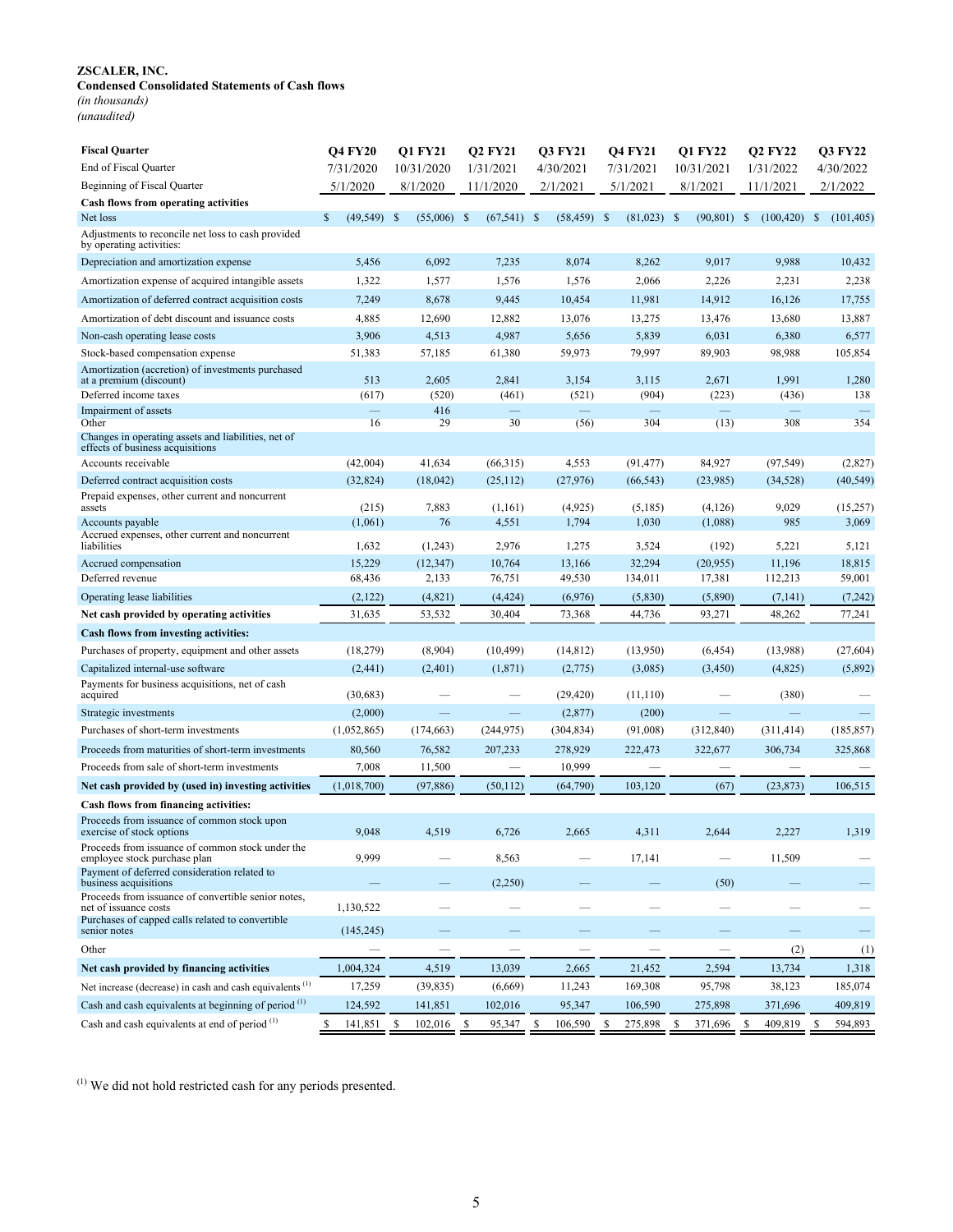#### **Condensed Consolidated Statements of Cash flows**

*(in thousands)* 

*(unaudited)*

| <b>Fiscal Quarter</b>                                                                   | <b>Q4 FY20</b>                 | Q1 FY21       | <b>Q2 FY21</b>           | Q3 FY21                  | <b>Q4 FY21</b>           | Q1 FY22                  | Q2 FY22          | Q3 FY22                         |
|-----------------------------------------------------------------------------------------|--------------------------------|---------------|--------------------------|--------------------------|--------------------------|--------------------------|------------------|---------------------------------|
| End of Fiscal Quarter                                                                   | 7/31/2020                      | 10/31/2020    | 1/31/2021                | 4/30/2021                | 7/31/2021                | 10/31/2021               | 1/31/2022        | 4/30/2022                       |
| Beginning of Fiscal Quarter                                                             | 5/1/2020                       | 8/1/2020      | 11/1/2020                | 2/1/2021                 | 5/1/2021                 | 8/1/2021                 | 11/1/2021        | 2/1/2022                        |
| <b>Cash flows from operating activities</b>                                             |                                |               |                          |                          |                          |                          |                  |                                 |
| Net loss                                                                                | $\mathbb{S}$<br>$(49, 549)$ \$ | $(55,006)$ \$ | $(67, 541)$ \$           | $(58, 459)$ \$           | $(81,023)$ \$            | (90, 801)                | -S<br>(100, 420) | - \$<br>(101, 405)              |
| Adjustments to reconcile net loss to cash provided<br>by operating activities:          |                                |               |                          |                          |                          |                          |                  |                                 |
| Depreciation and amortization expense                                                   | 5,456                          | 6,092         | 7,235                    | 8,074                    | 8,262                    | 9,017                    | 9,988            | 10,432                          |
| Amortization expense of acquired intangible assets                                      | 1,322                          | 1,577         | 1,576                    | 1,576                    | 2,066                    | 2,226                    | 2,231            | 2,238                           |
| Amortization of deferred contract acquisition costs                                     | 7,249                          | 8,678         | 9,445                    | 10,454                   | 11,981                   | 14,912                   | 16,126           | 17,755                          |
| Amortization of debt discount and issuance costs                                        | 4,885                          | 12,690        | 12,882                   | 13,076                   | 13,275                   | 13,476                   | 13,680           | 13,887                          |
| Non-cash operating lease costs                                                          | 3,906                          | 4,513         | 4,987                    | 5,656                    | 5,839                    | 6,031                    | 6,380            | 6,577                           |
| Stock-based compensation expense                                                        | 51,383                         | 57,185        | 61,380                   | 59,973                   | 79,997                   | 89,903                   | 98,988           | 105,854                         |
| Amortization (accretion) of investments purchased<br>at a premium (discount)            | 513                            | 2,605         | 2,841                    | 3,154                    | 3,115                    | 2,671                    | 1,991            | 1,280                           |
| Deferred income taxes                                                                   | (617)                          | (520)         | (461)                    | (521)                    | (904)                    | (223)                    | (436)            | 138                             |
| Impairment of assets<br>Other                                                           | 16                             | 416<br>29     | 30                       | ÷,<br>(56)               | 304                      | (13)                     | 308              | $\overline{\phantom{0}}$<br>354 |
| Changes in operating assets and liabilities, net of<br>effects of business acquisitions |                                |               |                          |                          |                          |                          |                  |                                 |
| Accounts receivable                                                                     | (42,004)                       | 41,634        | (66,315)                 | 4,553                    | (91, 477)                | 84,927                   | (97, 549)        | (2,827)                         |
| Deferred contract acquisition costs                                                     | (32, 824)                      | (18,042)      | (25, 112)                | (27,976)                 | (66, 543)                | (23,985)                 | (34, 528)        | (40, 549)                       |
| Prepaid expenses, other current and noncurrent<br>assets                                | (215)                          | 7,883         | (1,161)                  | (4,925)                  | (5,185)                  | (4,126)                  | 9,029            | (15, 257)                       |
| Accounts payable                                                                        | (1,061)                        | 76            | 4,551                    | 1,794                    | 1,030                    | (1,088)                  | 985              | 3,069                           |
| Accrued expenses, other current and noncurrent<br>liabilities                           | 1,632                          | (1,243)       | 2,976                    | 1,275                    | 3,524                    | (192)                    | 5,221            | 5,121                           |
| Accrued compensation                                                                    | 15,229                         | (12, 347)     | 10,764                   | 13,166                   | 32,294                   | (20,955)                 | 11,196           | 18,815                          |
| Deferred revenue                                                                        | 68,436                         | 2,133         | 76,751                   | 49,530                   | 134,011                  | 17,381                   | 112,213          | 59,001                          |
| Operating lease liabilities                                                             | (2,122)                        | (4,821)       | (4, 424)                 | (6,976)                  | (5,830)                  | (5,890)                  | (7, 141)         | (7, 242)                        |
| Net cash provided by operating activities                                               | 31,635                         | 53,532        | 30,404                   | 73,368                   | 44,736                   | 93,271                   | 48,262           | 77,241                          |
| Cash flows from investing activities:                                                   |                                |               |                          |                          |                          |                          |                  |                                 |
| Purchases of property, equipment and other assets                                       | (18,279)                       | (8,904)       | (10, 499)                | (14, 812)                | (13,950)                 | (6, 454)                 | (13,988)         | (27, 604)                       |
| Capitalized internal-use software                                                       | (2,441)                        | (2, 401)      | (1, 871)                 | (2,775)                  | (3,085)                  | (3,450)                  | (4,825)          | (5,892)                         |
| Payments for business acquisitions, net of cash<br>acquired                             | (30,683)                       |               | $\overline{\phantom{0}}$ | (29, 420)                | (11, 110)                | $\overline{\phantom{0}}$ | (380)            |                                 |
| Strategic investments                                                                   | (2,000)                        |               |                          | (2,877)                  | (200)                    |                          |                  |                                 |
| Purchases of short-term investments                                                     | (1,052,865)                    | (174, 663)    | (244, 975)               | (304, 834)               | (91,008)                 | (312, 840)               | (311, 414)       | (185, 857)                      |
| Proceeds from maturities of short-term investments                                      | 80,560                         | 76,582        | 207,233                  | 278,929                  | 222,473                  | 322,677                  | 306,734          | 325,868                         |
| Proceeds from sale of short-term investments                                            | 7,008                          | 11,500        |                          | 10,999                   |                          |                          |                  |                                 |
| Net cash provided by (used in) investing activities                                     | (1,018,700)                    | (97, 886)     | (50, 112)                | (64,790)                 | 103,120                  | (67)                     | (23, 873)        | 106,515                         |
| Cash flows from financing activities:                                                   |                                |               |                          |                          |                          |                          |                  |                                 |
| Proceeds from issuance of common stock upon<br>exercise of stock options                | 9.048                          | 4,519         | 6,726                    | 2,665                    | 4,311                    | 2.644                    | 2,227            | 1,319                           |
| Proceeds from issuance of common stock under the<br>employee stock purchase plan        | 9,999                          |               | 8,563                    |                          | 17,141                   |                          | 11,509           |                                 |
| Payment of deferred consideration related to<br>business acquisitions                   |                                |               | (2,250)                  |                          |                          | (50)                     |                  |                                 |
| Proceeds from issuance of convertible senior notes,<br>net of issuance costs            | 1,130,522                      |               | $\overline{\phantom{0}}$ | $\overline{\phantom{0}}$ |                          |                          |                  |                                 |
| Purchases of capped calls related to convertible<br>senior notes                        | (145, 245)                     |               |                          |                          |                          |                          |                  |                                 |
| Other                                                                                   |                                |               |                          |                          |                          |                          | (2)              | (1)                             |
| Net cash provided by financing activities                                               | 1,004,324                      | 4,519         | 13,039                   | 2,665                    | 21,452                   | 2,594                    | 13,734           | 1,318                           |
| Net increase (decrease) in cash and cash equivalents <sup>(1)</sup>                     | 17,259                         | (39, 835)     | (6,669)                  | 11,243                   | 169,308                  | 95,798                   | 38,123           | 185,074                         |
| Cash and cash equivalents at beginning of period <sup>(1)</sup>                         | 124,592                        | 141,851       | 102,016                  | 95,347                   | 106,590                  | 275,898                  | 371,696          | 409,819                         |
| Cash and cash equivalents at end of period <sup>(1)</sup>                               | \$<br>141,851                  | \$<br>102,016 | -S<br>95,347             | \$<br>106,590            | <sup>\$</sup><br>275,898 | 371,696<br>\$            | -S<br>409,819    | <sup>\$</sup><br>594,893        |

 $(1)$  We did not hold restricted cash for any periods presented.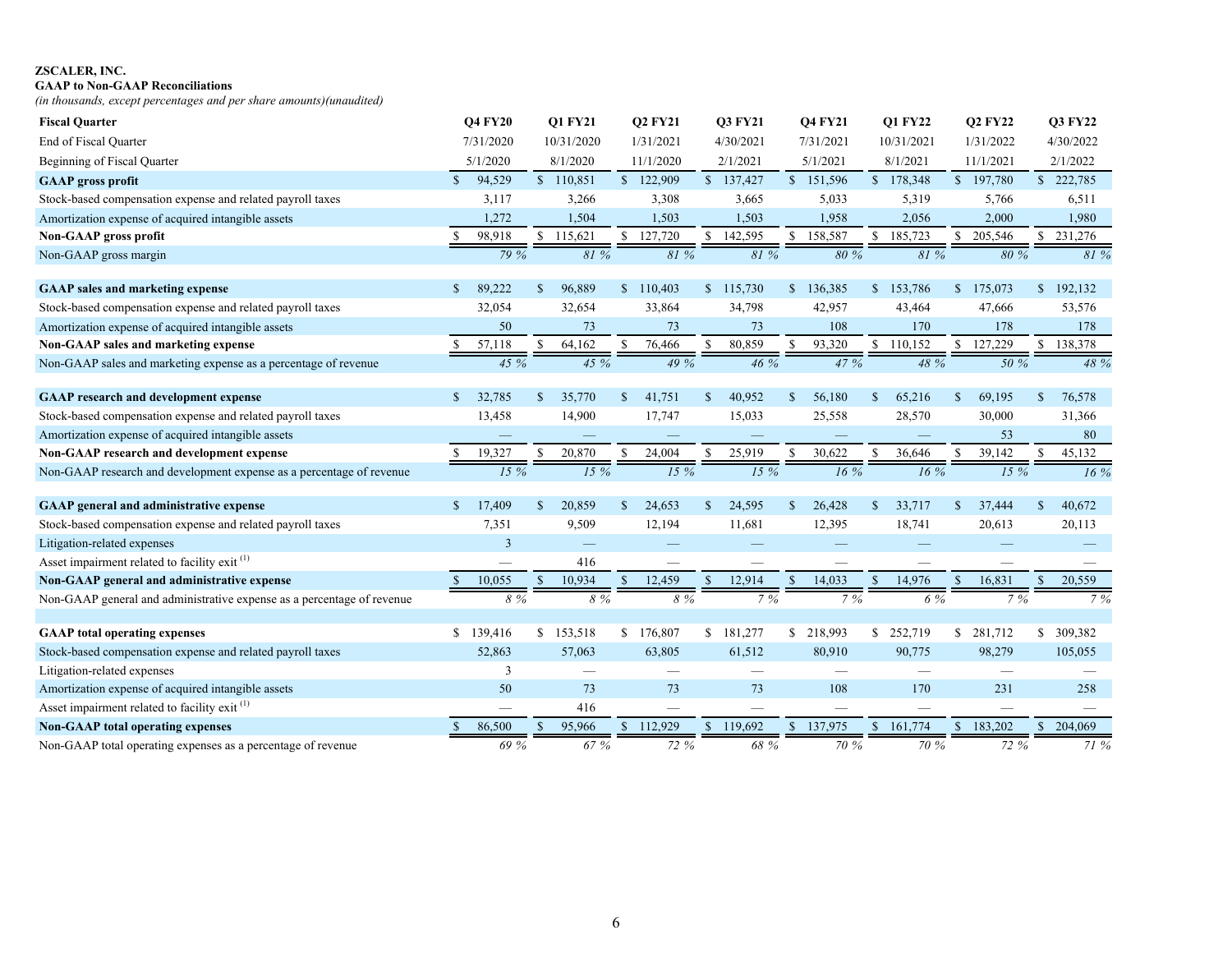## **GAAP to Non-GAAP Reconciliations**

*(in thousands, except percentages and per share amounts)(unaudited)*

| <b>Fiscal Quarter</b>                                                  |               | <b>O4 FY20</b>           |              | <b>O1 FY21</b> |               | <b>Q2 FY21</b>           |               | <b>O3 FY21</b> |               | <b>O4 FY21</b> |              | Q1 FY22    |               | <b>Q2 FY22</b> |               | <b>Q3 FY22</b> |
|------------------------------------------------------------------------|---------------|--------------------------|--------------|----------------|---------------|--------------------------|---------------|----------------|---------------|----------------|--------------|------------|---------------|----------------|---------------|----------------|
| End of Fiscal Quarter                                                  |               | 7/31/2020                |              | 10/31/2020     |               | 1/31/2021                |               | 4/30/2021      |               | 7/31/2021      |              | 10/31/2021 |               | 1/31/2022      |               | 4/30/2022      |
| Beginning of Fiscal Quarter                                            |               | 5/1/2020                 |              | 8/1/2020       |               | 11/1/2020                |               | 2/1/2021       |               | 5/1/2021       |              | 8/1/2021   |               | 11/1/2021      |               | 2/1/2022       |
| <b>GAAP</b> gross profit                                               | $\mathcal{S}$ | 94,529                   |              | \$110,851      |               | \$122,909                |               | \$137,427      |               | \$151,596      |              | \$178,348  |               | \$197,780      |               | \$222,785      |
| Stock-based compensation expense and related payroll taxes             |               | 3,117                    |              | 3,266          |               | 3,308                    |               | 3,665          |               | 5,033          |              | 5,319      |               | 5,766          |               | 6,511          |
| Amortization expense of acquired intangible assets                     |               | 1,272                    |              | 1,504          |               | 1,503                    |               | 1,503          |               | 1,958          |              | 2,056      |               | 2,000          |               | 1,980          |
| Non-GAAP gross profit                                                  |               | 98,918                   |              | \$115,621      |               | \$127,720                | $\mathbb{S}$  | 142,595        | $\mathbb{S}$  | 158,587        | $\mathbb{S}$ | 185,723    | \$.           | 205,546        |               | \$231,276      |
| Non-GAAP gross margin                                                  |               | 79%                      |              | 81%            |               | 81%                      |               | 81 %           |               | 80%            |              | 81 %       |               | 80 %           |               | 81%            |
|                                                                        |               |                          |              |                |               |                          |               |                |               |                |              |            |               |                |               |                |
| <b>GAAP</b> sales and marketing expense                                | $\mathbb{S}$  | 89,222                   | \$           | 96,889         |               | \$110,403                |               | \$115,730      |               | \$136,385      |              | \$153,786  |               | \$175,073      | $\mathbb{S}$  | 192,132        |
| Stock-based compensation expense and related payroll taxes             |               | 32,054                   |              | 32,654         |               | 33,864                   |               | 34,798         |               | 42,957         |              | 43,464     |               | 47,666         |               | 53,576         |
| Amortization expense of acquired intangible assets                     |               | 50                       |              | 73             |               | 73                       |               | 73             |               | 108            |              | 170        |               | 178            |               | 178            |
| Non-GAAP sales and marketing expense                                   | S             | 57,118                   | S.           | 64,162         | S             | 76,466                   | S             | 80,859         | <sup>S</sup>  | 93,320         |              | \$110,152  |               | \$127,229      |               | \$138,378      |
| Non-GAAP sales and marketing expense as a percentage of revenue        |               | 45 %                     |              | 45 %           |               | 49 %                     |               | 46 %           |               | 47 %           |              | 48 %       |               | 50 %           |               | 48 %           |
|                                                                        |               |                          |              |                |               |                          |               |                |               |                |              |            |               |                |               |                |
| <b>GAAP</b> research and development expense                           | $\mathbb{S}$  | 32,785                   | $\mathbb{S}$ | 35,770         | <sup>\$</sup> | 41,751                   | $\mathbb{S}$  | 40,952         | $\mathbb{S}$  | 56,180         | $\mathbb{S}$ | 65,216     | $\mathbb{S}$  | 69,195         | $\mathbf S$   | 76,578         |
| Stock-based compensation expense and related payroll taxes             |               | 13,458                   |              | 14,900         |               | 17,747                   |               | 15,033         |               | 25,558         |              | 28,570     |               | 30,000         |               | 31,366         |
| Amortization expense of acquired intangible assets                     |               |                          |              |                |               |                          |               |                |               |                |              |            |               | 53             |               | 80             |
| Non-GAAP research and development expense                              | S             | 19,327                   | \$.          | 20,870         | <b>S</b>      | 24,004                   | S             | 25,919         | <sup>\$</sup> | 30,622         | S.           | 36,646     |               | 39,142         | S.            | 45,132         |
| Non-GAAP research and development expense as a percentage of revenue   |               | 15%                      |              | 15%            |               | 15 %                     |               | 15 %           |               | 16%            |              | $16\%$     |               | 15 %           |               | 16%            |
| <b>GAAP</b> general and administrative expense                         | <sup>\$</sup> | 17,409                   | $\mathbb{S}$ | 20,859         | <sup>\$</sup> | 24,653                   | <sup>\$</sup> | 24,595         | <sup>\$</sup> | 26,428         | $\mathbb{S}$ | 33,717     | <sup>\$</sup> | 37,444         | \$            | 40,672         |
| Stock-based compensation expense and related payroll taxes             |               | 7,351                    |              | 9,509          |               | 12,194                   |               | 11,681         |               | 12,395         |              | 18,741     |               | 20,613         |               | 20,113         |
| Litigation-related expenses                                            |               | $\overline{3}$           |              |                |               |                          |               |                |               |                |              |            |               |                |               |                |
| Asset impairment related to facility exit <sup>(1)</sup>               |               | $\overline{\phantom{0}}$ |              | 416            |               |                          |               |                |               |                |              |            |               |                |               |                |
| Non-GAAP general and administrative expense                            | <sup>\$</sup> | 10,055                   | \$.          | 10,934         | $\mathbb{S}$  | 12,459                   | $\mathbf S$   | 12,914         | $\mathcal{S}$ | 14,033         | $\mathbf S$  | 14,976     | $\mathbb{S}$  | 16,831         | $\mathcal{S}$ | 20,559         |
| Non-GAAP general and administrative expense as a percentage of revenue |               | 8 %                      |              | 8 %            |               | 8 %                      |               | 7%             |               | 7%             |              | 6 %        |               | 7%             |               | 7%             |
|                                                                        |               |                          |              |                |               |                          |               |                |               |                |              |            |               |                |               |                |
| <b>GAAP</b> total operating expenses                                   | $\mathbb{S}$  | 139,416                  |              | \$153,518      |               | \$176,807                |               | \$181,277      | S.            | 218,993        |              | \$252,719  | S.            | 281,712        |               | \$ 309,382     |
| Stock-based compensation expense and related payroll taxes             |               | 52,863                   |              | 57,063         |               | 63,805                   |               | 61,512         |               | 80,910         |              | 90,775     |               | 98,279         |               | 105,055        |
| Litigation-related expenses                                            |               | $\overline{3}$           |              |                |               |                          |               |                |               |                |              |            |               |                |               |                |
| Amortization expense of acquired intangible assets                     |               | 50                       |              | 73             |               | 73                       |               | 73             |               | 108            |              | 170        |               | 231            |               | 258            |
| Asset impairment related to facility exit <sup>(1)</sup>               |               | $\overline{\phantom{0}}$ |              | 416            |               | $\overline{\phantom{0}}$ |               |                |               |                |              |            |               |                |               |                |
| <b>Non-GAAP</b> total operating expenses                               | -S            | 86,500                   |              | 95,966         |               | \$112,929                | $\mathbf{s}$  | 119,692        |               | \$137,975      |              | \$161,774  |               | \$183,202      | $\mathbb{S}$  | 204,069        |
| Non-GAAP total operating expenses as a percentage of revenue           |               | 69 %                     |              | 67 %           |               | 72 %                     |               | 68 %           |               | 70 %           |              | 70 %       |               | 72 %           |               | 71 %           |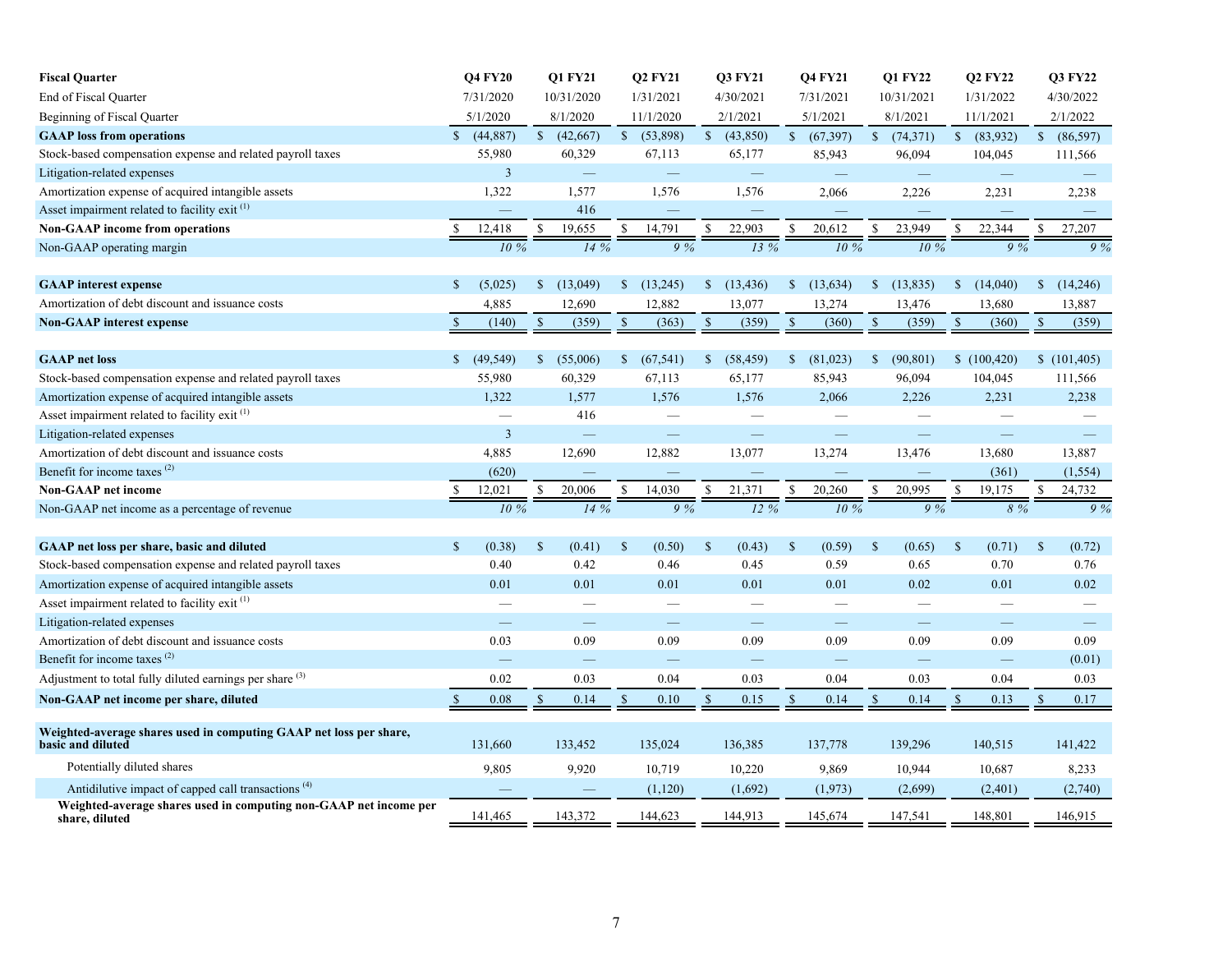| <b>Fiscal Quarter</b>                                                                   |                | <b>Q4 FY20</b>           |              | Q1 FY21     |              | <b>Q2 FY21</b> |               | <b>Q3 FY21</b> |               | <b>Q4 FY21</b> |              | Q1 FY22                  |               | <b>Q2 FY22</b>           |               | <b>Q3 FY22</b> |
|-----------------------------------------------------------------------------------------|----------------|--------------------------|--------------|-------------|--------------|----------------|---------------|----------------|---------------|----------------|--------------|--------------------------|---------------|--------------------------|---------------|----------------|
| End of Fiscal Quarter                                                                   |                | 7/31/2020                |              | 10/31/2020  |              | 1/31/2021      |               | 4/30/2021      |               | 7/31/2021      |              | 10/31/2021               |               | 1/31/2022                |               | 4/30/2022      |
| Beginning of Fiscal Quarter                                                             |                | 5/1/2020                 |              | 8/1/2020    |              | 11/1/2020      |               | 2/1/2021       |               | 5/1/2021       |              | 8/1/2021                 |               | 11/1/2021                |               | 2/1/2022       |
| <b>GAAP</b> loss from operations                                                        | $\mathbf S$    | (44, 887)                |              | (42,667)    |              | \$(53,898)     |               | (43,850)       |               | (67, 397)      |              | $\sqrt{74,371}$          |               | \$ (83,932)              |               | \$ (86,597)    |
| Stock-based compensation expense and related payroll taxes                              |                | 55,980                   |              | 60,329      |              | 67,113         |               | 65,177         |               | 85,943         |              | 96,094                   |               | 104,045                  |               | 111,566        |
| Litigation-related expenses                                                             |                | $\overline{3}$           |              |             |              |                |               |                |               |                |              | $\equiv$                 |               | $\overline{\phantom{m}}$ |               |                |
| Amortization expense of acquired intangible assets                                      |                | 1,322                    |              | 1,577       |              | 1,576          |               | 1,576          |               | 2,066          |              | 2,226                    |               | 2,231                    |               | 2,238          |
| Asset impairment related to facility exit <sup>(1)</sup>                                |                | $\overline{\phantom{0}}$ |              | 416         |              |                |               |                |               |                |              | $\overline{\phantom{0}}$ |               |                          |               |                |
| <b>Non-GAAP</b> income from operations                                                  | \$             | 12,418                   | \$           | 19,655      |              | 14,791         |               | 22,903         | S             | 20,612         |              | 23,949                   | S.            | 22,344                   |               | 27,207         |
| Non-GAAP operating margin                                                               |                | 10%                      |              | 14%         |              | 9%             |               | 13%            |               | 10%            |              | 10%                      |               | 9%                       |               | 9%             |
|                                                                                         |                |                          |              |             |              |                |               |                |               |                |              |                          |               |                          |               |                |
| <b>GAAP</b> interest expense                                                            | $\mathbb{S}$   | (5,025)                  | $\mathbb{S}$ | (13,049)    | \$           | (13,245)       | $\mathbb{S}$  | (13, 436)      | $\mathbb{S}$  | (13, 634)      | $\mathbb{S}$ | (13, 835)                | $\mathbb{S}$  | (14,040)                 | $\mathbb{S}$  | (14,246)       |
| Amortization of debt discount and issuance costs                                        |                | 4,885                    |              | 12,690      |              | 12,882         |               | 13,077         |               | 13,274         |              | 13,476                   |               | 13,680                   |               | 13,887         |
| <b>Non-GAAP</b> interest expense                                                        | $\mathbb{S}$   | (140)                    | $\mathbb{S}$ | (359)       | $\mathbb{S}$ | (363)          | $\mathcal{S}$ | (359)          | $\mathbb{S}$  | (360)          | $\mathbb{S}$ | (359)                    | $\mathcal{S}$ | (360)                    | <sup>S</sup>  | (359)          |
|                                                                                         |                |                          |              |             |              |                |               |                |               |                |              |                          |               |                          |               |                |
| <b>GAAP</b> net loss                                                                    | $\mathbb{S}^-$ | (49, 549)                |              | \$ (55,006) | \$           | (67, 541)      | $\mathbb{S}$  | (58, 459)      | $\mathbb{S}$  | (81,023)       | $\mathbb{S}$ | (90, 801)                |               | \$(100, 420)             |               | \$(101, 405)   |
| Stock-based compensation expense and related payroll taxes                              |                | 55,980                   |              | 60,329      |              | 67,113         |               | 65,177         |               | 85,943         |              | 96,094                   |               | 104,045                  |               | 111,566        |
| Amortization expense of acquired intangible assets                                      |                | 1,322                    |              | 1,577       |              | 1,576          |               | 1,576          |               | 2,066          |              | 2,226                    |               | 2,231                    |               | 2,238          |
| Asset impairment related to facility exit <sup>(1)</sup>                                |                |                          |              | 416         |              |                |               |                |               |                |              |                          |               |                          |               |                |
| Litigation-related expenses                                                             |                | $\overline{3}$           |              |             |              |                |               |                |               |                |              |                          |               |                          |               |                |
| Amortization of debt discount and issuance costs                                        |                | 4,885                    |              | 12,690      |              | 12,882         |               | 13,077         |               | 13,274         |              | 13,476                   |               | 13,680                   |               | 13,887         |
| Benefit for income taxes <sup>(2)</sup>                                                 |                | (620)                    |              |             |              |                |               |                |               |                |              |                          |               | (361)                    |               | (1, 554)       |
| <b>Non-GAAP</b> net income                                                              |                | 12.021                   | \$           | 20,006      |              | 14,030         |               | 21,371         | \$            | 20,260         | S            | 20,995                   | $\mathcal{S}$ | 19,175                   |               | 24,732         |
| Non-GAAP net income as a percentage of revenue                                          |                | 10 %                     |              | 14%         |              | 9%             |               | 12%            |               | 10 %           |              | 9%                       |               | 8 %                      |               | 9%             |
|                                                                                         |                |                          |              |             |              |                |               |                |               |                |              |                          |               |                          |               |                |
| <b>GAAP</b> net loss per share, basic and diluted                                       | $\mathbb{S}$   | (0.38)                   | $\mathbb{S}$ | (0.41)      | $\mathbb{S}$ | (0.50)         | <sup>\$</sup> | (0.43)         | $\mathcal{S}$ | (0.59)         | $\mathbb{S}$ | (0.65)                   | $\mathbb{S}$  | (0.71)                   | $\mathcal{S}$ | (0.72)         |
| Stock-based compensation expense and related payroll taxes                              |                | 0.40                     |              | 0.42        |              | 0.46           |               | 0.45           |               | 0.59           |              | 0.65                     |               | 0.70                     |               | 0.76           |
| Amortization expense of acquired intangible assets                                      |                | 0.01                     |              | 0.01        |              | 0.01           |               | 0.01           |               | 0.01           |              | 0.02                     |               | 0.01                     |               | 0.02           |
| Asset impairment related to facility exit <sup>(1)</sup>                                |                |                          |              |             |              |                |               |                |               |                |              |                          |               |                          |               |                |
| Litigation-related expenses                                                             |                |                          |              |             |              |                |               |                |               |                |              |                          |               |                          |               |                |
| Amortization of debt discount and issuance costs                                        |                | 0.03                     |              | 0.09        |              | 0.09           |               | 0.09           |               | 0.09           |              | 0.09                     |               | 0.09                     |               | 0.09           |
| Benefit for income taxes <sup>(2)</sup>                                                 |                |                          |              |             |              |                |               |                |               |                |              |                          |               | $\equiv$                 |               | (0.01)         |
| Adjustment to total fully diluted earnings per share $(3)$                              |                | 0.02                     |              | 0.03        |              | 0.04           |               | 0.03           |               | 0.04           |              | 0.03                     |               | 0.04                     |               | 0.03           |
| Non-GAAP net income per share, diluted                                                  | <sup>\$</sup>  | 0.08                     | \$           | 0.14        | \$.          | 0.10           | <sup>\$</sup> | 0.15           | $\mathbb{S}$  | 0.14           | $\mathbb{S}$ | 0.14                     | \$            | 0.13                     |               | 0.17           |
|                                                                                         |                |                          |              |             |              |                |               |                |               |                |              |                          |               |                          |               |                |
| Weighted-average shares used in computing GAAP net loss per share,<br>basic and diluted |                | 131,660                  |              | 133,452     |              | 135,024        |               | 136,385        |               | 137,778        |              | 139,296                  |               | 140,515                  |               | 141,422        |
| Potentially diluted shares                                                              |                | 9,805                    |              | 9,920       |              | 10,719         |               | 10,220         |               | 9,869          |              | 10,944                   |               | 10,687                   |               | 8,233          |
| Antidilutive impact of capped call transactions <sup>(4)</sup>                          |                |                          |              |             |              | (1,120)        |               | (1,692)        |               | (1,973)        |              | (2,699)                  |               | (2, 401)                 |               | (2,740)        |
| Weighted-average shares used in computing non-GAAP net income per<br>share, diluted     |                | 141,465                  |              | 143,372     |              | 144,623        |               | 144,913        |               | 145,674        |              | 147,541                  |               | 148,801                  |               | 146,915        |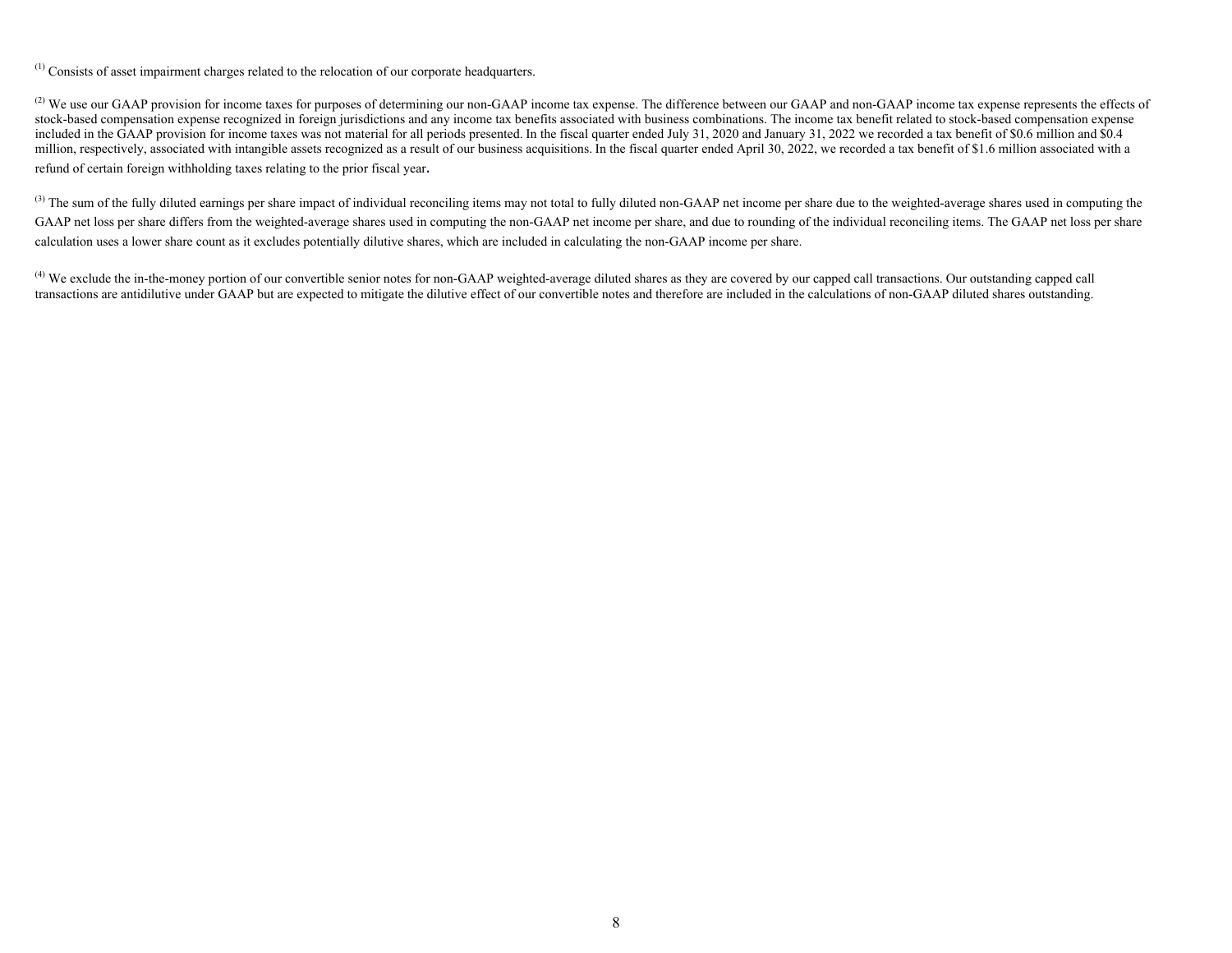(1) Consists of asset impairment charges related to the relocation of our corporate headquarters.

<sup>(2)</sup> We use our GAAP provision for income taxes for purposes of determining our non-GAAP income tax expense. The difference between our GAAP and non-GAAP income tax expense represents the effects of stock-based compensation expense recognized in foreign jurisdictions and any income tax benefits associated with business combinations. The income tax benefit related to stock-based compensation expense included in the GAAP provision for income taxes was not material for all periods presented. In the fiscal quarter ended July 31, 2020 and January 31, 2022 we recorded a tax benefit of \$0.6 million and \$0.4 million, respectively, associated with intangible assets recognized as a result of our business acquisitions. In the fiscal quarter ended April 30, 2022, we recorded a tax benefit of \$1.6 million associated with a refund of certain foreign withholding taxes relating to the prior fiscal year. 

<sup>(3)</sup> The sum of the fully diluted earnings per share impact of individual reconciling items may not total to fully diluted non-GAAP net income per share due to the weighted-average shares used in computing the GAAP net loss per share differs from the weighted-average shares used in computing the non-GAAP net income per share, and due to rounding of the individual reconciling items. The GAAP net loss per share calculation uses a lower share count as it excludes potentially dilutive shares, which are included in calculating the non-GAAP income per share.

<sup>(4)</sup> We exclude the in-the-money portion of our convertible senior notes for non-GAAP weighted-average diluted shares as they are covered by our capped call transactions. Our outstanding capped call transactions are antidilutive under GAAP but are expected to mitigate the dilutive effect of our convertible notes and therefore are included in the calculations of non-GAAP diluted shares outstanding.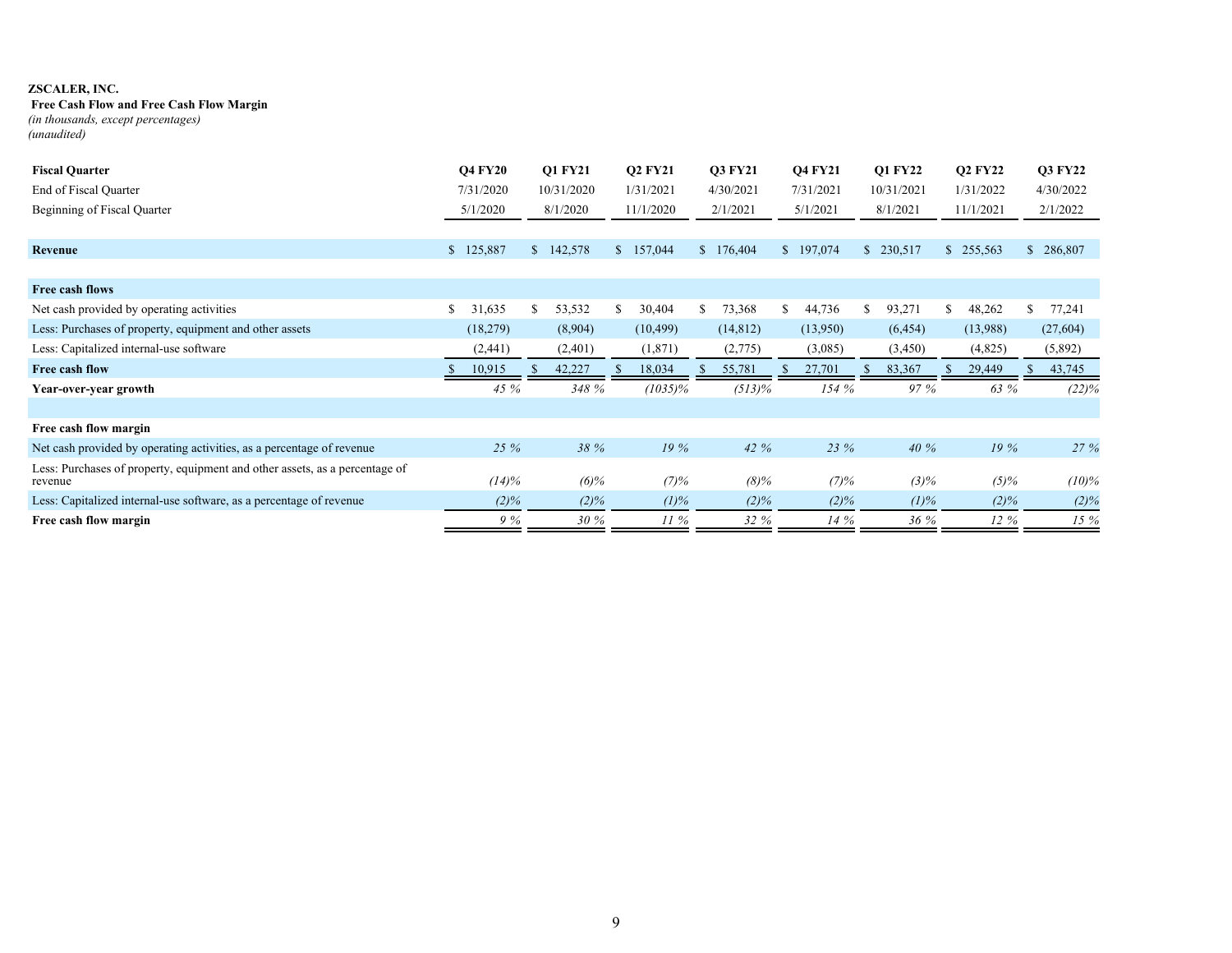## **Free Cash Flow and Free Cash Flow Margin**

*(in thousands, except percentages) (unaudited)*

| <b>Fiscal Quarter</b>                                                                  | <b>Q4 FY20</b> |    | <b>O1 FY21</b> |              | <b>O2 FY21</b> |    | <b>O3 FY21</b> |    | <b>O4 FY21</b> |     | <b>O1 FY22</b> |     | <b>Q2 FY22</b> | <b>O3 FY22</b> |
|----------------------------------------------------------------------------------------|----------------|----|----------------|--------------|----------------|----|----------------|----|----------------|-----|----------------|-----|----------------|----------------|
| End of Fiscal Quarter                                                                  | 7/31/2020      |    | 10/31/2020     |              | 1/31/2021      |    | 4/30/2021      |    | 7/31/2021      |     | 10/31/2021     |     | 1/31/2022      | 4/30/2022      |
| Beginning of Fiscal Quarter                                                            | 5/1/2020       |    | 8/1/2020       |              | 11/1/2020      |    | 2/1/2021       |    | 5/1/2021       |     | 8/1/2021       |     | 11/1/2021      | 2/1/2022       |
|                                                                                        |                |    |                |              |                |    |                |    |                |     |                |     |                |                |
| Revenue                                                                                | \$<br>125,887  |    | \$142,578      | <sup>S</sup> | 157,044        |    | \$176,404      |    | \$197,074      |     | \$230,517      |     | \$255,563      | \$286,807      |
|                                                                                        |                |    |                |              |                |    |                |    |                |     |                |     |                |                |
| Free cash flows                                                                        |                |    |                |              |                |    |                |    |                |     |                |     |                |                |
| Net cash provided by operating activities                                              | \$<br>31,635   | S. | 53,532         | -S           | 30,404         | S. | 73,368         | S. | 44,736         | \$. | 93,271         | \$. | 48,262         | 77,241         |
| Less: Purchases of property, equipment and other assets                                | (18,279)       |    | (8,904)        |              | (10, 499)      |    | (14, 812)      |    | (13,950)       |     | (6, 454)       |     | (13,988)       | (27,604)       |
| Less: Capitalized internal-use software                                                | (2,441)        |    | (2,401)        |              | (1, 871)       |    | (2,775)        |    | (3,085)        |     | (3,450)        |     | (4,825)        | (5,892)        |
| Free cash flow                                                                         | 10,915         |    | 42,227         |              | 18,034         |    | 55,781         |    | 27,701         |     | 83,367         |     | 29,449         | 43,745         |
| Year-over-year growth                                                                  | 45 %           |    | 348 %          |              | $(1035)\%$     |    | $(513)\%$      |    | 154%           |     | 97 %           |     | 63 %           | $(22)\%$       |
|                                                                                        |                |    |                |              |                |    |                |    |                |     |                |     |                |                |
| Free cash flow margin                                                                  |                |    |                |              |                |    |                |    |                |     |                |     |                |                |
| Net cash provided by operating activities, as a percentage of revenue                  | 25 %           |    | 38 %           |              | 19%            |    | 42 %           |    | 23 %           |     | 40%            |     | 19%            | 27 %           |
| Less: Purchases of property, equipment and other assets, as a percentage of<br>revenue | $(14)\%$       |    | $(6)\%$        |              | (7)%           |    | $(8)\%$        |    | (7)%           |     | $(3)\%$        |     | $(5)\%$        | $(10)\%$       |
| Less: Capitalized internal-use software, as a percentage of revenue                    | $(2)\%$        |    | $(2)\%$        |              | $(1)\%$        |    | $(2)\%$        |    | $(2)\%$        |     | $(1)\%$        |     | $(2)\%$        | $(2)\%$        |
| Free cash flow margin                                                                  | 9%             |    | 30%            |              | $11\%$         |    | 32%            |    | 14%            |     | 36%            |     | $12\%$         | 15%            |